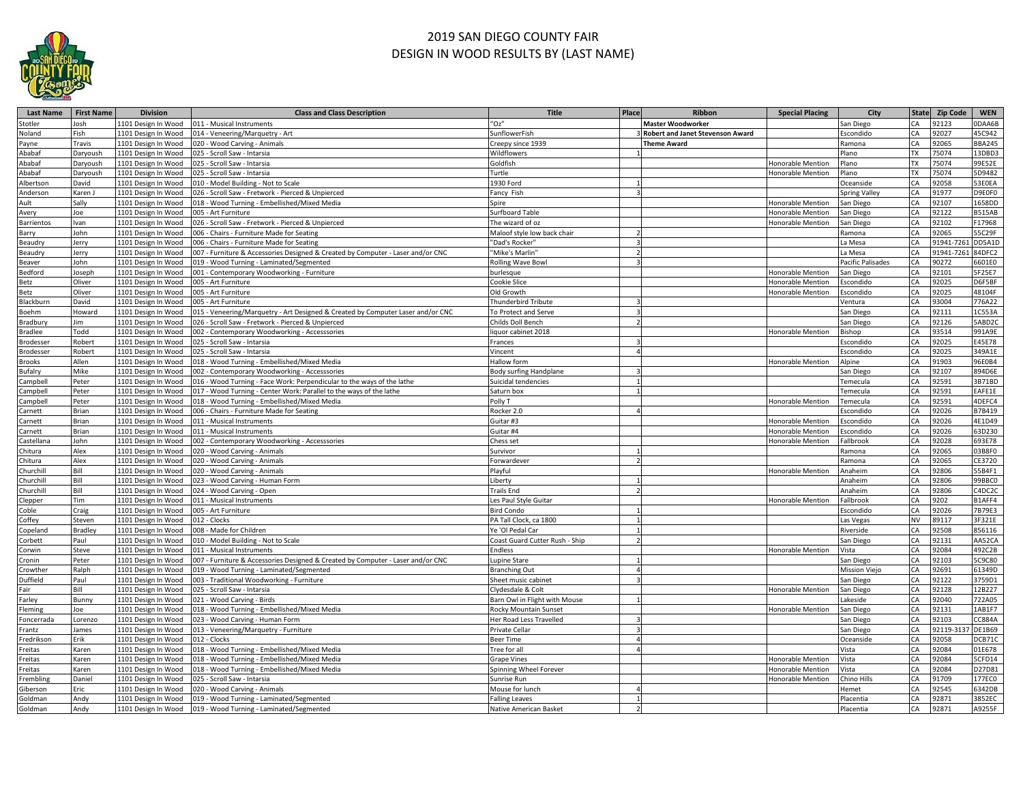

## 2019 SAN DIEGO COUNTY FAIR DESIGN IN WOOD RESULTS BY (LAST NAME)

| <b>Last Name</b>      | <b>First Name</b> | <b>Division</b>                            | <b>Class and Class Description</b>                                              | <b>Title</b>                           | Place | Ribbon                                  | <b>Special Placing</b>                 | City                 |            | State Zip Code | <b>WEN</b>       |
|-----------------------|-------------------|--------------------------------------------|---------------------------------------------------------------------------------|----------------------------------------|-------|-----------------------------------------|----------------------------------------|----------------------|------------|----------------|------------------|
| Stotler               | Josh              | 1101 Design In Wood                        | 011 - Musical Instruments                                                       | $^{\prime\prime}$ Oz $^{\prime\prime}$ |       | <b>Master Woodworker</b>                |                                        | San Diego            | CA         | 92123          | 0DAA6B           |
| Noland                | Fish              | 1101 Design In Wood                        | 014 - Veneering/Marquetry - Art                                                 | SunflowerFish                          |       | <b>Robert and Janet Stevenson Award</b> |                                        | Escondido            | CA         | 92027          | 45C942           |
| Payne                 | Travis            | 1101 Design In Wood                        | 020 - Wood Carving - Animals                                                    | Creepy since 1939                      |       | <b>Theme Award</b>                      |                                        | Ramona               | <b>CA</b>  | 92065          | <b>BBA245</b>    |
| Ababaf                | Daryoush          | 1101 Design In Wood                        | 025 - Scroll Saw - Intarsia                                                     | Wildflowers                            |       |                                         |                                        | Plano                | <b>TX</b>  | 75074          | 13DBD3           |
| Ababaf                | Daryoush          | 1101 Design In Wood                        | 025 - Scroll Saw - Intarsia                                                     | Goldfish                               |       |                                         | Honorable Mention                      | Plano                | <b>TX</b>  | 75074          | 99E52E           |
| Ababaf                | Daryoush          | 1101 Design In Wood                        | 025 - Scroll Saw - Intarsia                                                     | Turtle                                 |       |                                         | Honorable Mention                      | Plano                |            | 75074          | 5D9482           |
| Albertson             | David             | 1101 Design In Wood                        | 010 - Model Building - Not to Scale                                             | 1930 Ford                              |       |                                         |                                        | Oceanside            | CA         | 92058          | 3E0EA            |
| Anderson              | Karen J           | 1101 Design In Wood                        | 026 - Scroll Saw - Fretwork - Pierced & Unpierced                               | Fancy Fish                             |       |                                         |                                        | <b>Spring Valley</b> |            | 91977          | D9E0F0           |
| Ault                  | Sally             | 1101 Design In Wood                        | 018 - Wood Turning - Embellished/Mixed Media                                    | Spire                                  |       |                                         | Honorable Mention                      | San Diego            | <b>CA</b>  | 92107          | 1658DD           |
| Avery                 | Joe               | 1101 Design In Wood                        | 005 - Art Furniture                                                             | <b>Surfboard Table</b>                 |       |                                         | Honorable Mention                      | San Diego            | CA         | 92122          | 3515AB           |
| Barrientos            | Ivan              | 1101 Design In Wood                        | 026 - Scroll Saw - Fretwork - Pierced & Unpierced                               | The wizard of oz                       |       |                                         | Honorable Mention                      | San Diego            | CA         | 92102          | F17968           |
| Barry                 | John              | 1101 Design In Wood                        | 006 - Chairs - Furniture Made for Seating                                       | Maloof style low back chair            |       |                                         |                                        | Ramona               | CA         | 92065          | 55C29F           |
| Beaudry               | Jerry             | 1101 Design In Wood                        | 006 - Chairs - Furniture Made for Seating                                       | "Dad's Rocker"                         |       |                                         |                                        | a Mesa               | CA         | 91941-726:     | DD5A1D           |
| Beaudry               | Jerry             | 1101 Design In Wood                        | 007 - Furniture & Accessories Designed & Created by Computer - Laser and/or CNC | "Mike's Marlin"                        |       |                                         |                                        | a Mesa               | <b>CA</b>  | 91941-726      | 84DFC2           |
| Beaver                | John              | 1101 Design In Wood                        | 019 - Wood Turning - Laminated/Segmented                                        | <b>Rolling Wave Bowl</b>               |       |                                         |                                        | Pacific Palisades    |            | 90272          | 601E0            |
| Bedford               | Joseph            | 1101 Design In Wood                        | 001 - Contemporary Woodworking - Furniture                                      | burlesque                              |       |                                         | Honorable Mention                      | San Diego            | <b>CA</b>  | 92101          | F25E7            |
| Betz                  | Oliver            | 1101 Design In Wood                        | 005 - Art Furniture                                                             | Cookie Slice                           |       |                                         | Honorable Mention                      | scondido             | CA         | 92025          | O6F5BF           |
| Betz                  | Oliver            | 1101 Design In Wood                        | 005 - Art Furniture                                                             | Old Growth                             |       |                                         | Honorable Mention                      | Escondido            | CA         | 92025          | 48104F           |
| <b>Blackburn</b>      | David             | 1101 Design In Wood                        | 005 - Art Furniture                                                             | Thunderbird Tribute                    |       |                                         |                                        | /entura              |            | 93004          | 776A22           |
| Boehm                 | Howard            | 1101 Design In Wood                        | 015 - Veneering/Marquetry - Art Designed & Created by Computer Laser and/or CNC | To Protect and Serve                   |       |                                         |                                        | San Diego            | CA         | 92111          | 1C553A           |
| Bradbury              | Jim               | 1101 Design In Wood                        | 026 - Scroll Saw - Fretwork - Pierced & Unpierced                               | Childs Doll Bench                      |       |                                         |                                        | San Diego            | CA         | 92126          | 5ABD2C           |
| Bradlee               | Todd              | 1101 Design In Wood                        | 002 - Contemporary Woodworking - Accesssories                                   | liquor cabinet 2018                    |       |                                         | Honorable Mention                      | 3ishop               | CA         | 93514          | 991A9E           |
| <b>Brodesser</b>      | Robert            | 1101 Design In Wood                        | 025 - Scroll Saw - Intarsia                                                     | Frances                                |       |                                         |                                        | Escondido            | CA         | 92025          | E45E78           |
| Brodesser             | Robert            | 1101 Design In Wood                        | 025 - Scroll Saw - Intarsia                                                     | Vincent                                |       |                                         |                                        | Escondido            |            | 92025          | 349A1E           |
| Brooks                | Allen             | 1101 Design In Wood                        | 018 - Wood Turning - Embellished/Mixed Media                                    | <b>Hallow form</b>                     |       |                                         | Honorable Mention                      | Alpine               | CA         | 91903          | 96E0B4           |
| Bufalry               | Mike              | 1101 Design In Wood                        | 002 - Contemporary Woodworking - Accesssories                                   | <b>Body surfing Handplane</b>          |       |                                         |                                        | San Diego            |            | 92107          | 894D6E           |
| Campbell              | Peter             | 1101 Design In Wood                        | 016 - Wood Turning - Face Work: Perpendicular to the ways of the lathe          | Suicidal tendencies                    |       |                                         |                                        | <b>Temecula</b>      | CA         | 92591          | 3B71BD           |
| Campbell              | Peter             | 1101 Design In Wood                        | 017 - Wood Turning - Center Work: Parallel to the ways of the lathe             | Saturn box                             |       |                                         |                                        | <b>Temecula</b>      |            | 92591          | EAFE1E           |
|                       | Peter             | 1101 Design In Wood                        | 018 - Wood Turning - Embellished/Mixed Media                                    | Polly T                                |       |                                         | Honorable Mention                      | <b>Temecula</b>      | CA         | 92591          | 4DEFC4           |
| Campbell              | Brian             | 1101 Design In Wood                        | 006 - Chairs - Furniture Made for Seating                                       | Rocker 2.0                             |       |                                         |                                        | scondido             | CA         | 92026          | 37B419           |
| Carnett               | Brian             | 1101 Design In Wood                        | 011 - Musical Instruments                                                       | Guitar #3                              |       |                                         | Honorable Mention                      | Escondido            | CA         | 92026          | 4E1D49           |
| Carnett               | Brian             |                                            |                                                                                 |                                        |       |                                         |                                        |                      | CA         |                | 63D230           |
| Carnett<br>Castellana | John              | 1101 Design In Wood<br>1101 Design In Wood | 011 - Musical Instruments                                                       | Guitar #4<br>Chess set                 |       |                                         | Honorable Mention<br>Honorable Mention | scondido<br>allbrook | CA         | 92026<br>92028 | 693E78           |
|                       |                   |                                            | 002 - Contemporary Woodworking - Accesssories                                   |                                        |       |                                         |                                        |                      | <b>CA</b>  |                |                  |
| Chitura               | Alex              | 1101 Design In Wood                        | 020 - Wood Carving - Animals                                                    | Survivor                               |       |                                         |                                        | Ramona               | CA         | 92065          | 03B8F0           |
| Chitura               | Alex<br>Bill      | 1101 Design In Wood                        | 020 - Wood Carving - Animals                                                    | Forwardever                            |       |                                         |                                        | Ramona               | CA         | 92065<br>92806 | CE3720<br>55B4F1 |
| Churchill             |                   | 1101 Design In Wood                        | 020 - Wood Carving - Animals                                                    | Playful                                |       |                                         | Honorable Mention                      | Anaheim              |            |                |                  |
| Churchill             | Bill              | 1101 Design In Wood                        | 023 - Wood Carving - Human Form                                                 | Liberty                                |       |                                         |                                        | Anaheim              |            | 32806          | 99BBC0           |
| Churchill             | Bill              | 1101 Design In Wood                        | 024 - Wood Carving - Open                                                       | <b>Trails End</b>                      |       |                                         |                                        | Anaheim              | CA         | 32806          | C4DC2C           |
| lepper:               | Tim               | 1101 Design In Wood                        | 011 - Musical Instruments                                                       | Les Paul Style Guitar                  |       |                                         | Honorable Mention                      | allbrook             |            | 9202           | B1AFF4           |
| Coble                 | Craig             | 1101 Design In Wood                        | 005 - Art Furniture                                                             | <b>Bird Condo</b>                      |       |                                         |                                        | scondido             | CA         | 92026          | 7B79E3           |
| Coffey                | Steven            | 1101 Design In Wood                        | 012 - Clocks                                                                    | PA Tall Clock, ca 1800                 |       |                                         |                                        | as Vegas             | <b>NV</b>  | 89117          | 3F321E           |
| Copeland              | Bradley           | 1101 Design In Wood                        | 008 - Made for Children                                                         | Ye 'Ol Pedal Car                       |       |                                         |                                        | Riverside            | CA         | 92508          | 856116           |
| Corbett               | Paul              | 1101 Design In Wood                        | 010 - Model Building - Not to Scale                                             | Coast Guard Cutter Rush - Ship         |       |                                         |                                        | San Diego            | <b>CA</b>  | 92131          | AA52CA           |
| Corwin                | Steve             | 1101 Design In Wood                        | 011 - Musical Instruments                                                       | Endless                                |       |                                         | Honorable Mention                      | Vista                |            | 92084          | 492C2B           |
| Cronin                | Peter             | 1101 Design In Wood                        | 007 - Furniture & Accessories Designed & Created by Computer - Laser and/or CNC | Lupine Stare                           |       |                                         |                                        | San Diego            | <b>CA</b>  | 92103          | 5C9C80           |
| Crowther              | Ralph             | 1101 Design In Wood                        | 019 - Wood Turning - Laminated/Segmented                                        | <b>Branching Out</b>                   |       |                                         |                                        | Mission Viejo        |            | 92691          | 61349D           |
| Duffield              | Paul              | 1101 Design In Wood                        | 003 - Traditional Woodworking - Furniture                                       | Sheet music cabinet                    |       |                                         |                                        | San Diego            | <b>CA</b>  | 92122          | 3759D1           |
| Fair                  | Bill              | 1101 Design In Wood                        | 025 - Scroll Saw - Intarsia                                                     | Clydesdale & Colt                      |       |                                         | Honorable Mention                      | San Diego            | CA         | 92128          | 12B227           |
| Farley                | Bunny             | 1101 Design In Wood                        | 021 - Wood Carving - Birds                                                      | Barn Owl in Flight with Mouse          |       |                                         |                                        | akeside              | CA         | 92040          | 722A05           |
| leming                | Joe               | 1101 Design In Wood                        | 018 - Wood Turning - Embellished/Mixed Media                                    | Rocky Mountain Sunset                  |       |                                         | Honorable Mention                      | San Diego            | CA         | 92131          | 1AB1F7           |
| Foncerrada            | Lorenzo           | 1101 Design In Wood                        | 023 - Wood Carving - Human Form                                                 | Her Road Less Travelled                |       |                                         |                                        | an Diego             | CA         | 92103          | CC884A           |
| Frantz                | James             | 1101 Design In Wood                        | 013 - Veneering/Marquetry - Furniture                                           | Private Cellar                         |       |                                         |                                        | San Diego            | <b>CA</b>  | 92119-3:       | DE1B69           |
| Fredrikson            | Erik              | 1101 Design In Wood                        | 012 - Clocks                                                                    | <b>Beer Time</b>                       |       |                                         |                                        | Oceanside            |            | 92058          | CB71C            |
| Freitas               | Karen             | 1101 Design In Wood                        | 018 - Wood Turning - Embellished/Mixed Media                                    | Tree for all                           |       |                                         |                                        | Vista                | <b>CA</b>  | 92084          | 01E678           |
| reitas                | Karen             | 1101 Design In Wood                        | 018 - Wood Turning - Embellished/Mixed Media                                    | <b>Grape Vines</b>                     |       |                                         | Honorable Mention                      | Vista                | $\Gamma$ A | 92084          | 5CFD14           |
| Freitas               | Karen             | 1101 Design In Wood                        | 018 - Wood Turning - Embellished/Mixed Media                                    | Spinning Wheel Forever                 |       |                                         | <b>Honorable Mention</b>               | Vista                | CA         | 92084          | D27D81           |
| rembling              | Daniel            | 1101 Design In Wood                        | 025 - Scroll Saw - Intarsia                                                     | Sunrise Run                            |       |                                         | Honorable Mention                      | Chino Hills          |            | 91709          | 177EC0           |
| Giberson              | Eric              | 1101 Design In Wood                        | 020 - Wood Carving - Animals                                                    | Mouse for lunch                        |       |                                         |                                        | <b>Hemet</b>         | CA         | 92545          | 342DB            |
| Goldman               | Andy              | 1101 Design In Wood                        | 019 - Wood Turning - Laminated/Segmented                                        | <b>Falling Leaves</b>                  |       |                                         |                                        | Placentia            |            | 92871          | 3852EC           |
| Goldman               | Andy              | 1101 Design In Wood                        | 019 - Wood Turning - Laminated/Segmented                                        | Native American Basket                 |       |                                         |                                        | Placentia            | CA         | 92871          | A9255F           |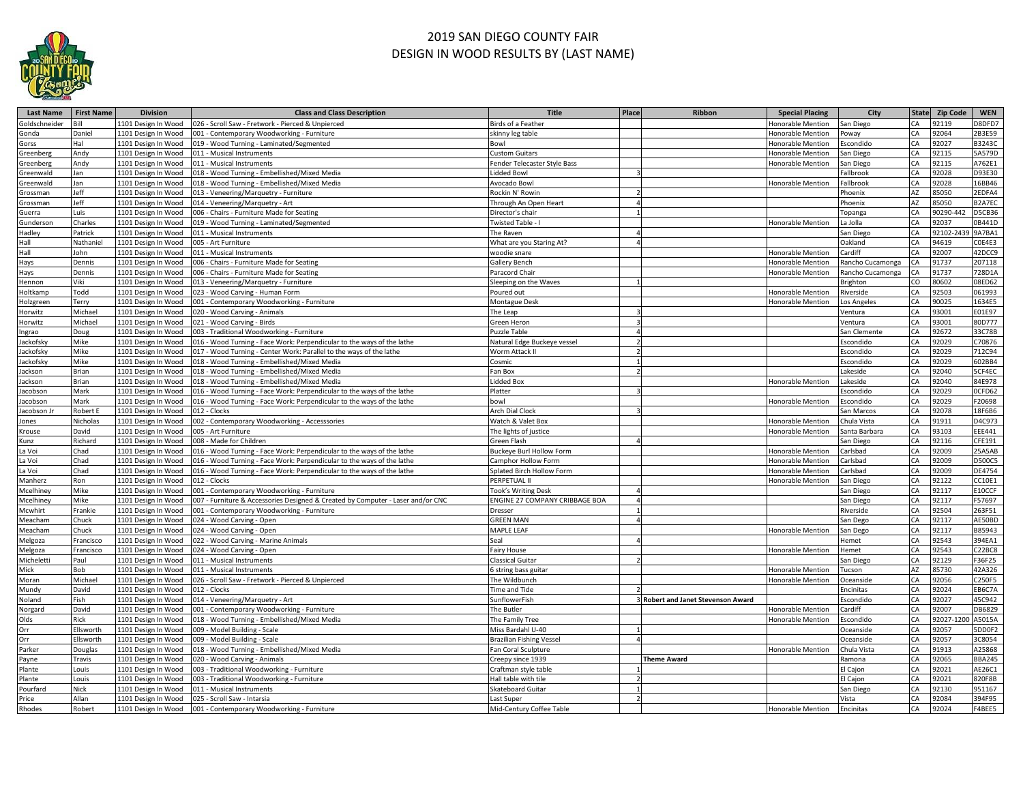

## 2019 SAN DIEGO COUNTY FAIR DESIGN IN WOOD RESULTS BY (LAST NAME)

| <b>Last Name</b> | <b>First Name</b> | <b>Division</b>     | <b>Class and Class Description</b>                                              | <b>Title</b>                    | Place          | Ribbon                             | <b>Special Placing</b>   | City                       |          | State Zip Code     | <b>WEN</b>      |
|------------------|-------------------|---------------------|---------------------------------------------------------------------------------|---------------------------------|----------------|------------------------------------|--------------------------|----------------------------|----------|--------------------|-----------------|
| Goldschneider    |                   | 1101 Design In Wood | 026 - Scroll Saw - Fretwork - Pierced & Unpierced                               | Birds of a Feather              |                |                                    | Honorable Mention        | San Diego                  | CA       | 92119              | 08DFD7          |
| Gonda            | Daniel            | 1101 Design In Wood | 001 - Contemporary Woodworking - Furniture                                      | skinny leg table                |                |                                    | Honorable Mention        | owav                       | CA       | 92064              | 2B3E59          |
| Gorss            | Hal               | 1101 Design In Wood | 019 - Wood Turning - Laminated/Segmented                                        | Bowl                            |                |                                    | Honorable Mention        | scondido                   | CA       | 92027              | 33243C          |
| Greenberg        | Andy              | 1101 Design In Wood | 011 - Musical Instruments                                                       | <b>Custom Guitars</b>           |                |                                    | Honorable Mention        | an Diego                   | СA       | 92115              | 5A579D          |
| Greenberg        | Andy              | 1101 Design In Wood | 011 - Musical Instruments                                                       | Fender Telecaster Style Bass    |                |                                    | Honorable Mention        | an Diego                   | CA       | 92115              | A762E1          |
| Greenwald        | Jan               | 1101 Design In Wood | 018 - Wood Turning - Embellished/Mixed Media                                    | Lidded Bowl                     |                |                                    |                          | allbrook                   | ÎА       | 92028              | D93E30          |
| Greenwald        | Jan               | 1101 Design In Wood | 018 - Wood Turning - Embellished/Mixed Media                                    | Avocado Bowl                    |                |                                    | Honorable Mention        | allbrook                   | СA       | 92028              | 16BB46          |
| Grossman         | Jeff              | 1101 Design In Wood | 013 - Veneering/Marquetry - Furniture                                           | Rockin N' Rowin                 |                |                                    |                          | hoenix                     | AZ       | 85050              | 2EDFA4          |
| Grossman         | Jeff              | 1101 Design In Wood | 014 - Veneering/Marquetry - Art                                                 | Through An Open Heart           | $\Delta$       |                                    |                          | hoenix                     | AZ       | 85050              | B2A7EC          |
| Guerra           | Luis              | 1101 Design In Wood | 006 - Chairs - Furniture Made for Seating                                       | Director's chair                |                |                                    |                          | opanga                     | CA       | 90290-44           | D5CB36          |
|                  | Charles           |                     | 019 - Wood Turning - Laminated/Segmented                                        |                                 |                |                                    |                          |                            | СA       | 92037              | B441D           |
| Gunderson        |                   | 1101 Design In Wood |                                                                                 | Twisted Table - I               |                |                                    | Honorable Mention        | a Jolla                    | ĊA       |                    |                 |
| Hadley           | Patrick           | 1101 Design In Wood | 011 - Musical Instruments                                                       | The Raven                       |                |                                    |                          | an Diego<br><b>Jakland</b> |          | 92102-243<br>94619 | A7BA1<br>COE4E3 |
| Hall             | Nathaniel         | 1101 Design In Wood | 005 - Art Furniture                                                             | What are you Staring At?        |                |                                    |                          |                            | ĴА       |                    |                 |
| Hall             | John              | 1101 Design In Wood | 011 - Musical Instruments                                                       | woodie snare                    |                |                                    | Honorable Mention        | ardiff                     | CA       | 92007              | 42DCC9          |
| Hays             | Dennis            | 1101 Design In Wood | 006 - Chairs - Furniture Made for Seating                                       | <b>Gallery Bench</b>            |                |                                    | Honorable Mention        | ancho Cucamonga            | CA       | 91737              | 207118          |
| Hays             | Dennis            | 1101 Design In Wood | 006 - Chairs - Furniture Made for Seating                                       | Paracord Chair                  |                |                                    | Honorable Mention        | ancho Cucamonga            | CA       | 91737              | 728D1A          |
| Hennon           | Viki              | 1101 Design In Wood | 013 - Veneering/Marquetry - Furniture                                           | Sleeping on the Waves           |                |                                    |                          | Brighton                   | CO       | 80602              | 08ED62          |
| Holtkamp         | Todd              | 1101 Design In Wood | 023 - Wood Carving - Human Form                                                 | Poured out                      |                |                                    | Honorable Mention        | liverside                  | CA       | 92503              | 061993          |
| Holzgreen        | Terry             | 1101 Design In Wood | 001 - Contemporary Woodworking - Furniture                                      | <b>Montague Desk</b>            |                |                                    | Honorable Mention        | os Angeles                 | CA       | 90025              | 1634E5          |
| Horwitz          | Michae            | 1101 Design In Wood | 020 - Wood Carving - Animals                                                    | The Leap                        |                |                                    |                          | entura                     | CA       | 93001              | E01E97          |
| Horwitz          | Michae            | 1101 Design In Wood | 021 - Wood Carving - Birds                                                      | Green Heron                     |                |                                    |                          | /entura                    | ĊA       | 93001              | 80D777          |
| ngrao            | Doug              | 1101 Design In Wood | 003 - Traditional Woodworking - Furniture                                       | <b>Puzzle Table</b>             | $\Lambda$      |                                    |                          | an Clemente                | СA       | 92672              | 33C78B          |
| ackofsky         | Mike              | 1101 Design In Wood | 016 - Wood Turning - Face Work: Perpendicular to the ways of the lathe          | Natural Edge Buckeye vessel     | 2 <sup>1</sup> |                                    |                          | scondido                   | СA       | 92029              | C70876          |
| ackofsky         | Mike              | 1101 Design In Wood | 017 - Wood Turning - Center Work: Parallel to the ways of the lathe             | Worm Attack II                  | $\mathcal{P}$  |                                    |                          | scondido                   | СA       | 92029              | 712C94          |
| ackofsky         | Mike              | 1101 Design In Wood | 018 - Wood Turning - Embellished/Mixed Media                                    | Cosmic                          |                |                                    |                          | scondido                   | CA       | 92029              | 602BB4          |
| ackson           | Brian             | 1101 Design In Wood | 018 - Wood Turning - Embellished/Mixed Media                                    | Fan Box                         |                |                                    |                          | akeside                    | CA       | 92040              | GF4EC           |
| ackson           | Brian             | 1101 Design In Wood | 018 - Wood Turning - Embellished/Mixed Media                                    | Lidded Box                      |                |                                    | Honorable Mention        | akeside                    | СA       | 92040              | 34E978          |
| acobson          | Mark              | 101 Design In Wood  | 016 - Wood Turning - Face Work: Perpendicular to the ways of the lathe          | Platter                         |                |                                    |                          | scondido                   | $\Delta$ | 92029              | CFD62           |
| Jacobson         | Mark              | 1101 Design In Wood | 016 - Wood Turning - Face Work: Perpendicular to the ways of the lathe          | bowl                            |                |                                    | Honorable Mention        | scondido                   | ĴА       | 92029              | F20698          |
| acobson Jr       | Robert I          | 1101 Design In Wood | 012 - Clocks                                                                    | <b>Arch Dial Clock</b>          |                |                                    |                          | an Marcos                  | СA       | 92078              | 18F6B6          |
| Jones            | Nicholas          | 1101 Design In Wood | 002 - Contemporary Woodworking - Accesssories                                   | Watch & Valet Box               |                |                                    | Honorable Mention        | Chula Vista                | СA       | 91911              | D4C973          |
| Krouse           | David             | 1101 Design In Wood | 005 - Art Furniture                                                             | The lights of justice           |                |                                    | Honorable Mention        | anta Barbara               | CA       | 93103              | EEE441          |
| Kunz             | Richard           | 1101 Design In Wood | 008 - Made for Children                                                         | Green Flash                     |                |                                    |                          | an Diego                   | CA       | 92116              | CFE191          |
| a Voi            | Chad              | 1101 Design In Wood | 016 - Wood Turning - Face Work: Perpendicular to the ways of the lathe          | Buckeye Burl Hollow Form        |                |                                    | <b>Honorable Mention</b> | arlsbad                    | CA       | 92009              | 25A5AB          |
| La Voi           | Chad              | 1101 Design In Wood | 016 - Wood Turning - Face Work: Perpendicular to the ways of the lathe          | Camphor Hollow Form             |                |                                    | Honorable Mention        | arlsbad                    | CA       | 92009              | 0500C5          |
| La Voi           | Chad              | 1101 Design In Wood | 016 - Wood Turning - Face Work: Perpendicular to the ways of the lathe          | Splated Birch Hollow Form       |                |                                    | Honorable Mention        | arlsbad                    | СA       | 92009              | DE4754          |
| Manherz          | Ron               | 1101 Design In Wood | 012 - Clocks                                                                    | PERPETUAL II                    |                |                                    | Honorable Mention        | an Diego                   | СA       | 92122              | C10E1           |
| Mcelhiney        | Mike              | 1101 Design In Wood | 001 - Contemporary Woodworking - Furniture                                      | Took's Writing Desk             |                |                                    |                          | an Diego                   | СA       | 92117              | E10CCF          |
|                  | Mike              |                     | 007 - Furniture & Accessories Designed & Created by Computer - Laser and/or CNC | ENGINE 27 COMPANY CRIBBAGE BOA  |                |                                    |                          | San Diego                  | CA       | 92117              | F57697          |
| Mcelhiney        | Frankie           | 1101 Design In Wood |                                                                                 |                                 |                |                                    |                          |                            | CA       | 92504              | 263F51          |
| Mcwhirt          |                   | 1101 Design In Wood | 001 - Contemporary Woodworking - Furniture                                      | Dresser<br><b>GREEN MAN</b>     | $\Delta$       |                                    |                          | liverside                  |          |                    |                 |
| Meacham          | Chuck             | 1101 Design In Wood | 024 - Wood Carving - Open                                                       |                                 |                |                                    |                          | San Dego                   | CA       | 92117              | AE50BD          |
| Meacham          | Chuck             | 1101 Design In Wood | 024 - Wood Carving - Open                                                       | MAPLE LEAF                      |                |                                    | Honorable Mention        | an Dego                    | CA       | 92117              | B85943          |
| Melgoza          | Francisco         | 1101 Design In Wood | 022 - Wood Carving - Marine Animals                                             | Seal                            |                |                                    |                          | <b>Hemet</b>               | CA       | 92543              | 394EA1          |
| Melgoza          | Francisco         | 1101 Design In Wood | 024 - Wood Carving - Open                                                       | Fairy House                     |                |                                    | Honorable Mention        | lemet                      | CA       | 92543              | C22BC8          |
| Micheletti       | Paul              | 1101 Design In Wood | 011 - Musical Instruments                                                       | <b>Classical Guitar</b>         |                |                                    |                          | an Diego                   | CA       | 92129              | F36F25          |
| Mick             | Bob               | 1101 Design In Wood | 011 - Musical Instruments                                                       | 6 string bass guitar            |                |                                    | Honorable Mention        | ucson                      | AZ       | 85730              | 42A326          |
| Moran            | Michael           | 1101 Design In Wood | 026 - Scroll Saw - Fretwork - Pierced & Unpierced                               | The Wildbunch                   |                |                                    | Honorable Mention        | Oceanside                  | ÎА       | 92056              | C250F5          |
| Mundy            | David             | 1101 Design In Wood | 012 - Clocks                                                                    | <b>Time and Tide</b>            |                |                                    |                          | ncinitas                   | CA       | 92024              | EB6C7A          |
| Noland           | Fish              | 1101 Design In Wood | 014 - Veneering/Marquetry - Art                                                 | SunflowerFish                   |                | 3 Robert and Janet Stevenson Award |                          | Escondido                  | ΓA       | 92027              | 45C942          |
| Norgard          | David             | 1101 Design In Wood | 001 - Contemporary Woodworking - Furniture                                      | The Butler                      |                |                                    | <b>Honorable Mention</b> | ardiff                     | CA       | 92007              | DB6829          |
| Olds             | Rick              | 1101 Design In Wood | 018 - Wood Turning - Embellished/Mixed Media                                    | The Family Tree                 |                |                                    | Honorable Mention        | scondido                   | ΓA       | 92027-120          | A5015A          |
| Orr              | Ellsworth         | 1101 Design In Wood | 009 - Model Building - Scale                                                    | Miss Bardahl U-40               |                |                                    |                          | Oceanside                  | СA       | 92057              | DDOF2           |
| Orr              | Ellsworth         | 1101 Design In Wood | 009 - Model Building - Scale                                                    | <b>Brazilian Fishing Vessel</b> |                |                                    |                          | Oceanside                  | ĊA       | 92057              | C8054           |
| Parker           | Douglas           | 1101 Design In Wood | 018 - Wood Turning - Embellished/Mixed Media                                    | Fan Coral Sculpture             |                |                                    | Honorable Mention        | hula Vista                 | СA       | 91913              | 125868          |
| Payne            | Travis            | 1101 Design In Wood | 020 - Wood Carving - Animals                                                    | Creepy since 1939               |                | <b>Theme Award</b>                 |                          | amona                      | CA       | 92065              | <b>BBA245</b>   |
| Plante           | Louis             | 1101 Design In Wood | 003 - Traditional Woodworking - Furniture                                       | Craftman style table            |                |                                    |                          | I Cajon                    | ĊA       | 92021              | AE26C1          |
| Plante           | Louis             | 1101 Design In Wood | 003 - Traditional Woodworking - Furniture                                       | Hall table with tile            |                |                                    |                          | I Cajon                    | СA       | 92021              | 820F8B          |
| Pourfard         | Nick              | 1101 Design In Wood | 011 - Musical Instruments                                                       | Skateboard Guitar               |                |                                    |                          | San Diego                  | CA       | 92130              | 951167          |
| Price            | Allan             | 1101 Design In Wood | 025 - Scroll Saw - Intarsia                                                     | Last Super                      | $\overline{2}$ |                                    |                          | /ista                      | CA       | 92084              | 394F95          |
| Rhodes           | Robert            | 1101 Design In Wood | 001 - Contemporary Woodworking - Furniture                                      | Mid-Century Coffee Table        |                |                                    | Honorable Mention        | Encinitas                  | CA       | 92024              | F4BEE5          |
|                  |                   |                     |                                                                                 |                                 |                |                                    |                          |                            |          |                    |                 |